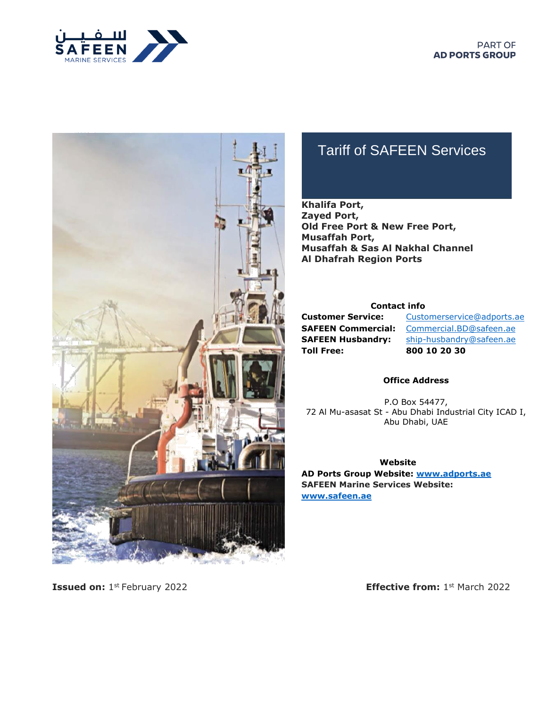



# Tariff of SAFEEN Services

#### **Khalifa Port, Zayed Port, Old Free Port & New Free Port, Musaffah Port, Musaffah & Sas Al Nakhal Channel Al Dhafrah Region Ports**

#### **Contact info**

**Toll Free: 800 10 20 30** 

**Customer Service:** [Customerservice@adports.ae](mailto:Customerservice@adports.ae) **SAFEEN Commercial:** [Commercial.BD@safeen.ae](mailto:Commercial.BD@safeen.ae) **SAFEEN Husbandry:** ship-husbandry@safeen.ae

#### **Office Address**

P.O Box 54477, 72 Al Mu-asasat St - Abu Dhabi Industrial City ICAD I, Abu Dhabi, UAE

**Website AD Ports Group Website: [www.adports.ae](http://www.adports.ae/) SAFEEN Marine Services Website: [www.safeen.ae](http://www.safeen.ae/)**

**Issued on:** 1 st February 2022 **Effective from:** 1

**Effective from:**  $1<sup>st</sup>$  March 2022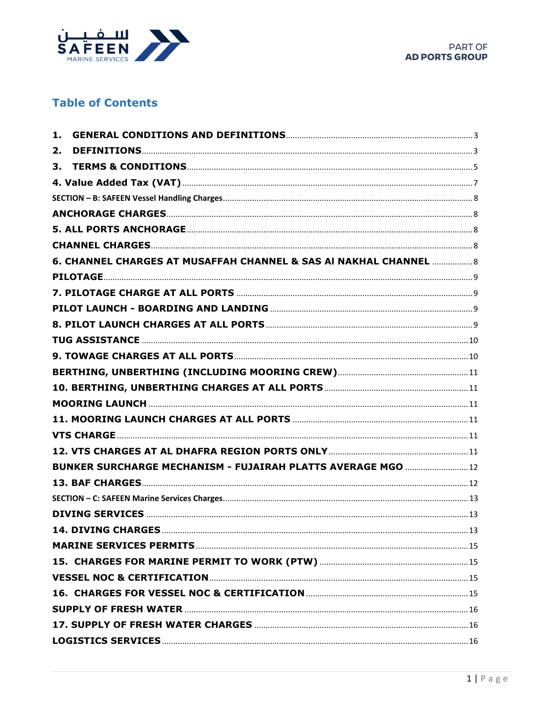

# **Table of Contents**

| 1.                                                                |  |
|-------------------------------------------------------------------|--|
| 2.                                                                |  |
| 3.                                                                |  |
|                                                                   |  |
|                                                                   |  |
|                                                                   |  |
|                                                                   |  |
|                                                                   |  |
| 6. CHANNEL CHARGES AT MUSAFFAH CHANNEL & SAS AI NAKHAL CHANNEL  8 |  |
|                                                                   |  |
|                                                                   |  |
|                                                                   |  |
|                                                                   |  |
|                                                                   |  |
|                                                                   |  |
|                                                                   |  |
|                                                                   |  |
|                                                                   |  |
|                                                                   |  |
|                                                                   |  |
|                                                                   |  |
| BUNKER SURCHARGE MECHANISM - FUJAIRAH PLATTS AVERAGE MGO  12      |  |
|                                                                   |  |
|                                                                   |  |
|                                                                   |  |
|                                                                   |  |
|                                                                   |  |
|                                                                   |  |
|                                                                   |  |
|                                                                   |  |
|                                                                   |  |
|                                                                   |  |
|                                                                   |  |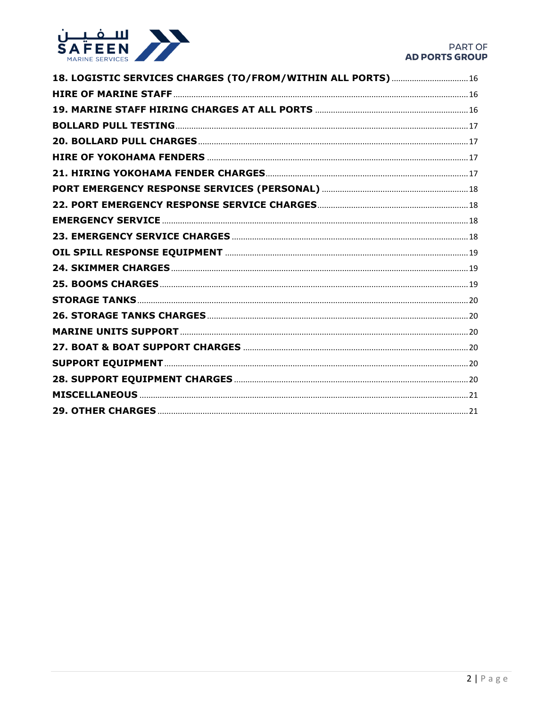

| 18. LOGISTIC SERVICES CHARGES (TO/FROM/WITHIN ALL PORTS)  16 |  |
|--------------------------------------------------------------|--|
|                                                              |  |
|                                                              |  |
|                                                              |  |
|                                                              |  |
|                                                              |  |
|                                                              |  |
|                                                              |  |
|                                                              |  |
|                                                              |  |
|                                                              |  |
|                                                              |  |
|                                                              |  |
|                                                              |  |
|                                                              |  |
|                                                              |  |
|                                                              |  |
|                                                              |  |
|                                                              |  |
|                                                              |  |
|                                                              |  |
|                                                              |  |
|                                                              |  |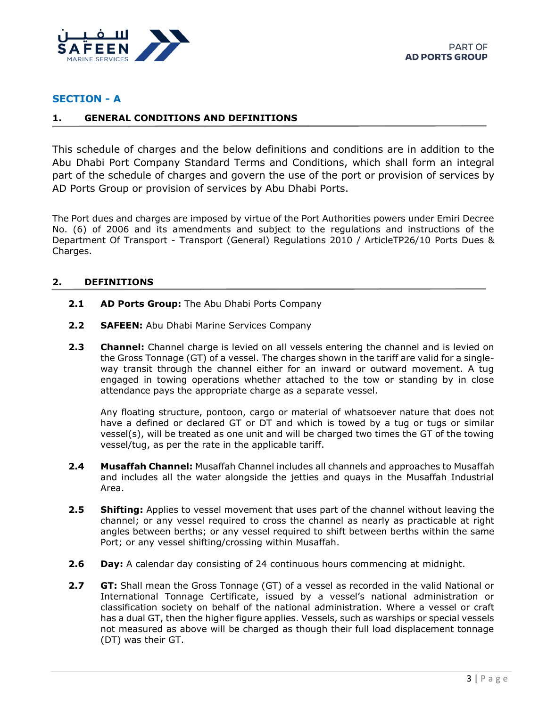

#### **SECTION - A**

#### <span id="page-3-0"></span>**1. GENERAL CONDITIONS AND DEFINITIONS**

This schedule of charges and the below definitions and conditions are in addition to the Abu Dhabi Port Company Standard Terms and Conditions, which shall form an integral part of the schedule of charges and govern the use of the port or provision of services by AD Ports Group or provision of services by Abu Dhabi Ports.

The Port dues and charges are imposed by virtue of the Port Authorities powers under Emiri Decree No. (6) of 2006 and its amendments and subject to the regulations and instructions of the Department Of Transport - Transport (General) Regulations 2010 / ArticleTP26/10 Ports Dues & Charges.

#### <span id="page-3-1"></span>**2. DEFINITIONS**

- **2.1 AD Ports Group:** The Abu Dhabi Ports Company
- **2.2 SAFEEN:** Abu Dhabi Marine Services Company
- **2.3 Channel:** Channel charge is levied on all vessels entering the channel and is levied on the Gross Tonnage (GT) of a vessel. The charges shown in the tariff are valid for a singleway transit through the channel either for an inward or outward movement. A tug engaged in towing operations whether attached to the tow or standing by in close attendance pays the appropriate charge as a separate vessel.

Any floating structure, pontoon, cargo or material of whatsoever nature that does not have a defined or declared GT or DT and which is towed by a tug or tugs or similar vessel(s), will be treated as one unit and will be charged two times the GT of the towing vessel/tug, as per the rate in the applicable tariff.

- **2.4 Musaffah Channel:** Musaffah Channel includes all channels and approaches to Musaffah and includes all the water alongside the jetties and quays in the Musaffah Industrial Area.
- **2.5 Shifting:** Applies to vessel movement that uses part of the channel without leaving the channel; or any vessel required to cross the channel as nearly as practicable at right angles between berths; or any vessel required to shift between berths within the same Port; or any vessel shifting/crossing within Musaffah.
- **2.6 Day:** A calendar day consisting of 24 continuous hours commencing at midnight.
- **2.7 GT:** Shall mean the Gross Tonnage (GT) of a vessel as recorded in the valid National or International Tonnage Certificate, issued by a vessel's national administration or classification society on behalf of the national administration. Where a vessel or craft has a dual GT, then the higher figure applies. Vessels, such as warships or special vessels not measured as above will be charged as though their full load displacement tonnage (DT) was their GT.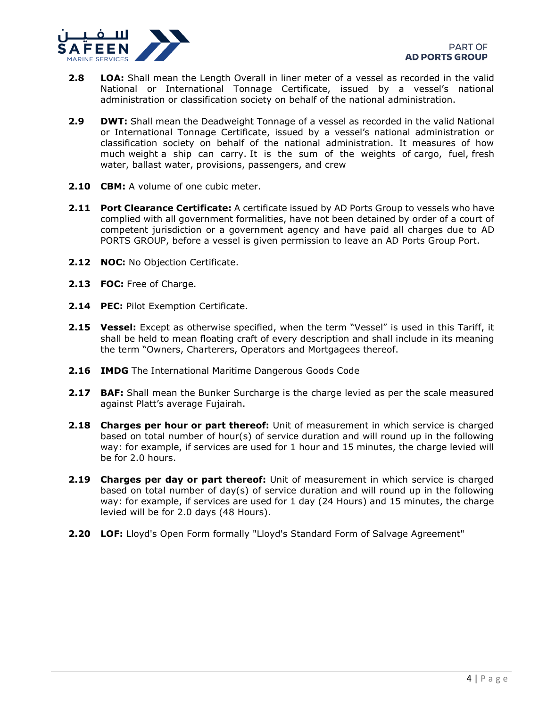

- **2.8 LOA:** Shall mean the Length Overall in liner meter of a vessel as recorded in the valid National or International Tonnage Certificate, issued by a vessel's national administration or classification society on behalf of the national administration.
- **2.9 DWT:** Shall mean the Deadweight Tonnage of a vessel as recorded in the valid National or International Tonnage Certificate, issued by a vessel's national administration or classification society on behalf of the national administration. It measures of how much [weight](https://en.wikipedia.org/wiki/Weight) a ship can carry. It is the sum of the weights of [cargo,](https://en.wikipedia.org/wiki/Cargo) fuel, [fresh](https://en.wikipedia.org/wiki/Fresh_water)  [water,](https://en.wikipedia.org/wiki/Fresh_water) [ballast water,](https://en.wikipedia.org/wiki/Sailing_ballast#Water_ballast) provisions, passengers, and [crew](https://en.wikipedia.org/wiki/Crew)
- **2.10 CBM:** A volume of one cubic meter.
- **2.11 Port Clearance Certificate:** A certificate issued by AD Ports Group to vessels who have complied with all government formalities, have not been detained by order of a court of competent jurisdiction or a government agency and have paid all charges due to AD PORTS GROUP, before a vessel is given permission to leave an AD Ports Group Port.
- **2.12 NOC:** No Objection Certificate.
- **2.13 FOC:** Free of Charge.
- **2.14 PEC:** Pilot Exemption Certificate.
- **2.15 Vessel:** Except as otherwise specified, when the term "Vessel" is used in this Tariff, it shall be held to mean floating craft of every description and shall include in its meaning the term "Owners, Charterers, Operators and Mortgagees thereof.
- **2.16 IMDG** The International Maritime Dangerous Goods Code
- **2.17 BAF:** Shall mean the Bunker Surcharge is the charge levied as per the scale measured against Platt's average Fujairah.
- **2.18 Charges per hour or part thereof:** Unit of measurement in which service is charged based on total number of hour(s) of service duration and will round up in the following way: for example, if services are used for 1 hour and 15 minutes, the charge levied will be for 2.0 hours.
- **2.19 Charges per day or part thereof:** Unit of measurement in which service is charged based on total number of day(s) of service duration and will round up in the following way: for example, if services are used for 1 day (24 Hours) and 15 minutes, the charge levied will be for 2.0 days (48 Hours).
- **2.20 LOF:** Lloyd's Open Form formally "Lloyd's Standard Form of Salvage Agreement"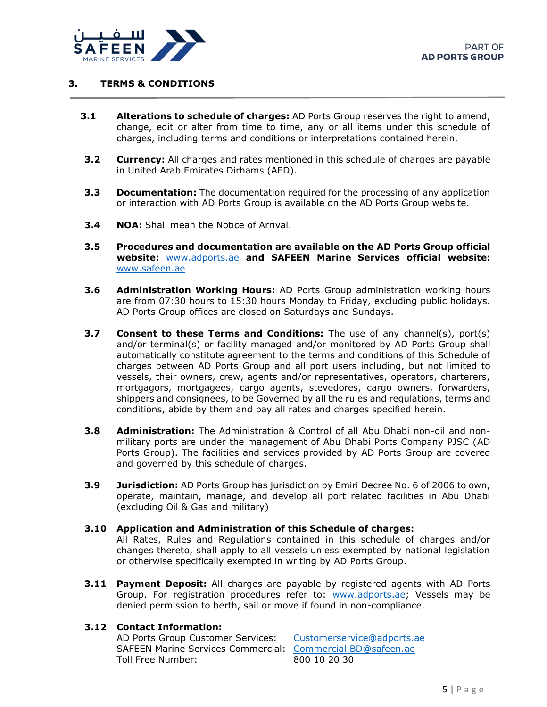

#### <span id="page-5-0"></span>**3. TERMS & CONDITIONS**

- **3.1 Alterations to schedule of charges:** AD Ports Group reserves the right to amend, change, edit or alter from time to time, any or all items under this schedule of charges, including terms and conditions or interpretations contained herein.
- **3.2 Currency:** All charges and rates mentioned in this schedule of charges are payable in United Arab Emirates Dirhams (AED).
- **3.3 Documentation:** The documentation required for the processing of any application or interaction with AD Ports Group is available on the AD Ports Group website.
- **3.4 NOA:** Shall mean the Notice of Arrival.
- **3.5 Procedures and documentation are available on the AD Ports Group official website:** [www.adports.ae](http://www.adports.ae/) **and SAFEEN Marine Services official website:**  [www.safeen.ae](http://www.safeen.ae/)
- **3.6 Administration Working Hours:** AD Ports Group administration working hours are from 07:30 hours to 15:30 hours Monday to Friday, excluding public holidays. AD Ports Group offices are closed on Saturdays and Sundays.
- **3.7 Consent to these Terms and Conditions:** The use of any channel(s), port(s) and/or terminal(s) or facility managed and/or monitored by AD Ports Group shall automatically constitute agreement to the terms and conditions of this Schedule of charges between AD Ports Group and all port users including, but not limited to vessels, their owners, crew, agents and/or representatives, operators, charterers, mortgagors, mortgagees, cargo agents, stevedores, cargo owners, forwarders, shippers and consignees, to be Governed by all the rules and regulations, terms and conditions, abide by them and pay all rates and charges specified herein.
- **3.8 Administration:** The Administration & Control of all Abu Dhabi non-oil and nonmilitary ports are under the management of Abu Dhabi Ports Company PJSC (AD Ports Group). The facilities and services provided by AD Ports Group are covered and governed by this schedule of charges.
- **3.9 Jurisdiction:** AD Ports Group has jurisdiction by Emiri Decree No. 6 of 2006 to own, operate, maintain, manage, and develop all port related facilities in Abu Dhabi (excluding Oil & Gas and military)

#### **3.10 Application and Administration of this Schedule of charges:**

All Rates, Rules and Regulations contained in this schedule of charges and/or changes thereto, shall apply to all vessels unless exempted by national legislation or otherwise specifically exempted in writing by AD Ports Group.

**3.11 Payment Deposit:** All charges are payable by registered agents with AD Ports Group. For registration procedures refer to: [www.adports.ae;](http://www.adports.ae/) Vessels may be denied permission to berth, sail or move if found in non-compliance.

#### **3.12 Contact Information:**

AD Ports Group Customer Services: [Customerservice@adports.ae](mailto:Customerservice@adports.ae) SAFEEN Marine Services Commercial: [Commercial.BD@safeen.ae](mailto:Commercial.BD@safeen.ae) Toll Free Number: 800 10 20 30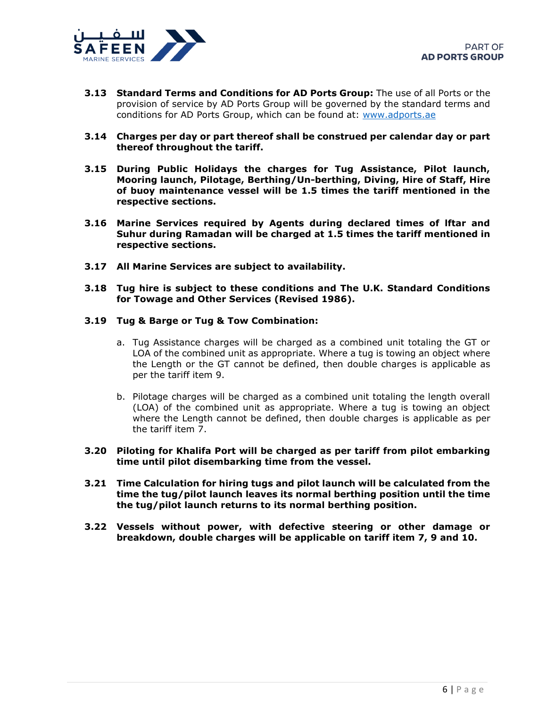

- **3.13 Standard Terms and Conditions for AD Ports Group:** The use of all Ports or the provision of service by AD Ports Group will be governed by the standard terms and conditions for AD Ports Group, which can be found at: [www.adports.ae](http://www.adports.ae/)
- **3.14 Charges per day or part thereof shall be construed per calendar day or part thereof throughout the tariff.**
- **3.15 During Public Holidays the charges for Tug Assistance, Pilot launch, Mooring launch, Pilotage, Berthing/Un-berthing, Diving, Hire of Staff, Hire of buoy maintenance vessel will be 1.5 times the tariff mentioned in the respective sections.**
- **3.16 Marine Services required by Agents during declared times of lftar and Suhur during Ramadan will be charged at 1.5 times the tariff mentioned in respective sections.**
- **3.17 All Marine Services are subject to availability.**
- **3.18 Tug hire is subject to these conditions and The U.K. Standard Conditions for Towage and Other Services (Revised 1986).**

#### **3.19 Tug & Barge or Tug & Tow Combination:**

- a. Tug Assistance charges will be charged as a combined unit totaling the GT or LOA of the combined unit as appropriate. Where a tug is towing an object where the Length or the GT cannot be defined, then double charges is applicable as per the tariff item 9.
- b. Pilotage charges will be charged as a combined unit totaling the length overall (LOA) of the combined unit as appropriate. Where a tug is towing an object where the Length cannot be defined, then double charges is applicable as per the tariff item 7.
- **3.20 Piloting for Khalifa Port will be charged as per tariff from pilot embarking time until pilot disembarking time from the vessel.**
- **3.21 Time Calculation for hiring tugs and pilot launch will be calculated from the time the tug/pilot launch leaves its normal berthing position until the time the tug/pilot launch returns to its normal berthing position.**
- **3.22 Vessels without power, with defective steering or other damage or breakdown, double charges will be applicable on tariff item 7, 9 and 10.**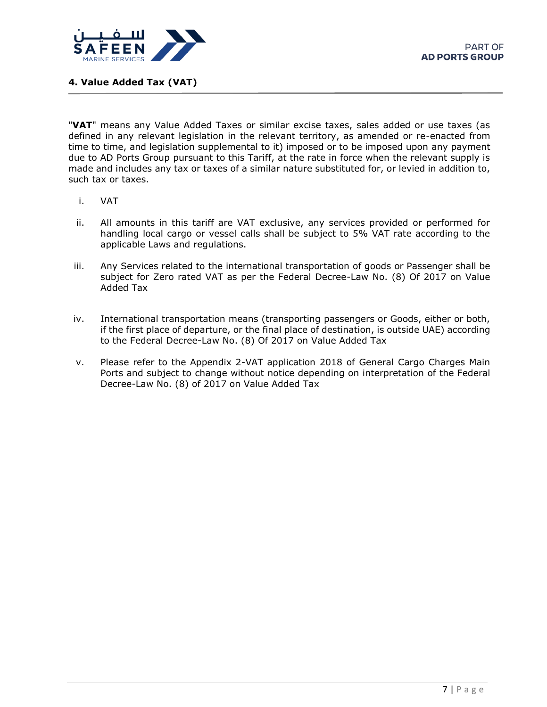

<span id="page-7-0"></span>**4. Value Added Tax (VAT)**

"**VAT**" means any Value Added Taxes or similar excise taxes, sales added or use taxes (as defined in any relevant legislation in the relevant territory, as amended or re-enacted from time to time, and legislation supplemental to it) imposed or to be imposed upon any payment due to AD Ports Group pursuant to this Tariff, at the rate in force when the relevant supply is made and includes any tax or taxes of a similar nature substituted for, or levied in addition to, such tax or taxes.

- i. VAT
- ii. All amounts in this tariff are VAT exclusive, any services provided or performed for handling local cargo or vessel calls shall be subject to 5% VAT rate according to the applicable Laws and regulations.
- iii. Any Services related to the international transportation of goods or Passenger shall be subject for Zero rated VAT as per the Federal Decree-Law No. (8) Of 2017 on Value Added Tax
- iv. International transportation means (transporting passengers or Goods, either or both, if the first place of departure, or the final place of destination, is outside UAE) according to the Federal Decree-Law No. (8) Of 2017 on Value Added Tax
- v. Please refer to the Appendix 2-VAT application 2018 of General Cargo Charges Main Ports and subject to change without notice depending on interpretation of the Federal Decree-Law No. (8) of 2017 on Value Added Tax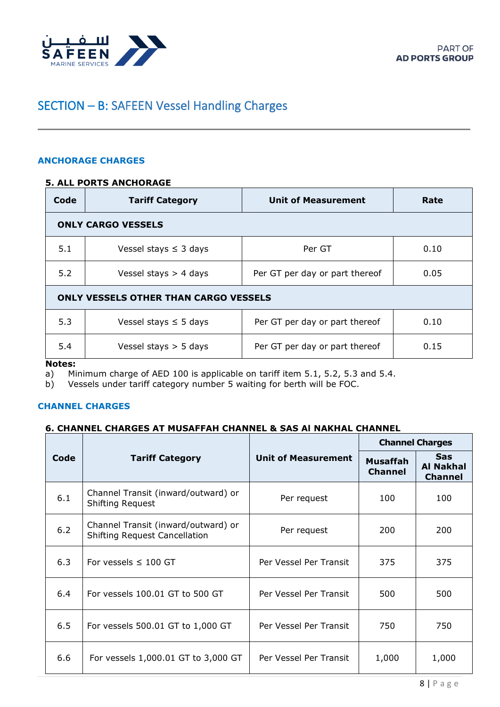<span id="page-8-0"></span>

# <span id="page-8-1"></span>SECTION – B: SAFEEN Vessel Handling Charges

#### <span id="page-8-2"></span>**ANCHORAGE CHARGES**

#### **5. ALL PORTS ANCHORAGE**

| Code | <b>Tariff Category</b>                       | <b>Unit of Measurement</b>     | Rate |
|------|----------------------------------------------|--------------------------------|------|
|      | <b>ONLY CARGO VESSELS</b>                    |                                |      |
| 5.1  | Vessel stays $\leq$ 3 days                   | Per GT                         | 0.10 |
| 5.2  | Vessel stays $>$ 4 days                      | Per GT per day or part thereof | 0.05 |
|      | <b>ONLY VESSELS OTHER THAN CARGO VESSELS</b> |                                |      |
| 5.3  | Vessel stays $\leq$ 5 days                   | Per GT per day or part thereof | 0.10 |
| 5.4  | Vessel stays $>$ 5 days                      | Per GT per day or part thereof | 0.15 |

<span id="page-8-3"></span>**Notes:** 

a) Minimum charge of AED 100 is applicable on tariff item 5.1, 5.2, 5.3 and 5.4.

<span id="page-8-4"></span>b) Vessels under tariff category number 5 waiting for berth will be FOC.

#### **CHANNEL CHARGES**

#### **6. CHANNEL CHARGES AT MUSAFFAH CHANNEL & SAS Al NAKHAL CHANNEL**

|      |                                                                             |                            | <b>Channel Charges</b>     |                                                  |
|------|-----------------------------------------------------------------------------|----------------------------|----------------------------|--------------------------------------------------|
| Code | <b>Tariff Category</b>                                                      | <b>Unit of Measurement</b> | Musaffah<br><b>Channel</b> | <b>Sas</b><br><b>Al Nakhal</b><br><b>Channel</b> |
| 6.1  | Channel Transit (inward/outward) or<br><b>Shifting Request</b>              | Per request                | 100                        | 100                                              |
| 6.2  | Channel Transit (inward/outward) or<br><b>Shifting Request Cancellation</b> | Per request                | 200                        | 200                                              |
| 6.3  | For vessels $\leq$ 100 GT                                                   | Per Vessel Per Transit     | 375                        | 375                                              |
| 6.4  | For yessels 100.01 GT to 500 GT                                             | Per Vessel Per Transit     | 500                        | 500                                              |
| 6.5  | For vessels 500.01 GT to 1,000 GT                                           | Per Vessel Per Transit     | 750                        | 750                                              |
| 6.6  | For vessels 1,000.01 GT to 3,000 GT                                         | Per Vessel Per Transit     | 1,000                      | 1,000                                            |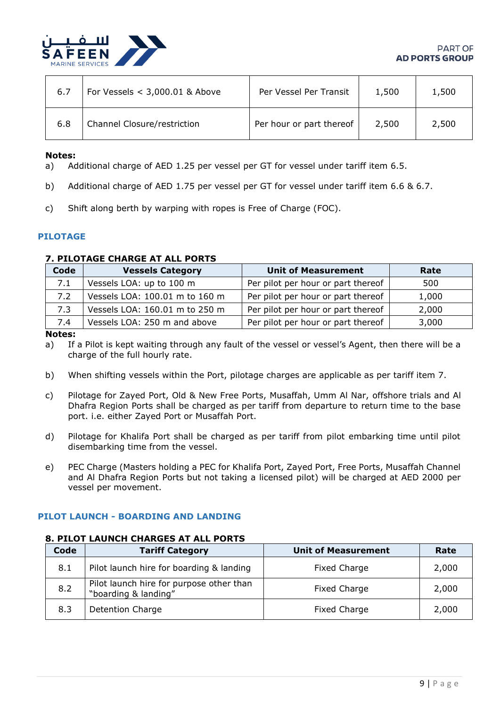

| 6.7 | For Vessels $<$ 3,000.01 & Above | Per Vessel Per Transit   | 1,500 | 1,500 |
|-----|----------------------------------|--------------------------|-------|-------|
| 6.8 | Channel Closure/restriction      | Per hour or part thereof | 2,500 | 2,500 |

#### **Notes:**

- a) Additional charge of AED 1.25 per vessel per GT for vessel under tariff item 6.5.
- <span id="page-9-0"></span>b) Additional charge of AED 1.75 per vessel per GT for vessel under tariff item 6.6 & 6.7.
- <span id="page-9-1"></span>c) Shift along berth by warping with ropes is Free of Charge (FOC).

## **PILOTAGE**

#### **7. PILOTAGE CHARGE AT ALL PORTS**

| Code | <b>Vessels Category</b>        | <b>Unit of Measurement</b>         | Rate  |
|------|--------------------------------|------------------------------------|-------|
| 7.1  | Vessels LOA: up to 100 m       | Per pilot per hour or part thereof | 500   |
| 7.2  | Vessels LOA: 100.01 m to 160 m | Per pilot per hour or part thereof | 1,000 |
| 7.3  | Vessels LOA: 160.01 m to 250 m | Per pilot per hour or part thereof | 2,000 |
| 7.4  | Vessels LOA: 250 m and above   | Per pilot per hour or part thereof | 3,000 |

**Notes:**

- a) If a Pilot is kept waiting through any fault of the vessel or vessel's Agent, then there will be a charge of the full hourly rate.
- b) When shifting vessels within the Port, pilotage charges are applicable as per tariff item 7.
- c) Pilotage for Zayed Port, Old & New Free Ports, Musaffah, Umm Al Nar, offshore trials and Al Dhafra Region Ports shall be charged as per tariff from departure to return time to the base port. i.e. either Zayed Port or Musaffah Port.
- d) Pilotage for Khalifa Port shall be charged as per tariff from pilot embarking time until pilot disembarking time from the vessel.
- <span id="page-9-2"></span>e) PEC Charge (Masters holding a PEC for Khalifa Port, Zayed Port, Free Ports, Musaffah Channel and Al Dhafra Region Ports but not taking a licensed pilot) will be charged at AED 2000 per vessel per movement.

#### <span id="page-9-3"></span>**PILOT LAUNCH - BOARDING AND LANDING**

# **8. PILOT LAUNCH CHARGES AT ALL PORTS**

| Code | <b>Tariff Category</b>                                           | <b>Unit of Measurement</b> | Rate  |
|------|------------------------------------------------------------------|----------------------------|-------|
| 8.1  | Pilot launch hire for boarding & landing                         | Fixed Charge               | 2,000 |
| 8.2  | Pilot launch hire for purpose other than<br>"boarding & landing" | Fixed Charge               | 2,000 |
| 8.3  | <b>Detention Charge</b>                                          | <b>Fixed Charge</b>        | 2,000 |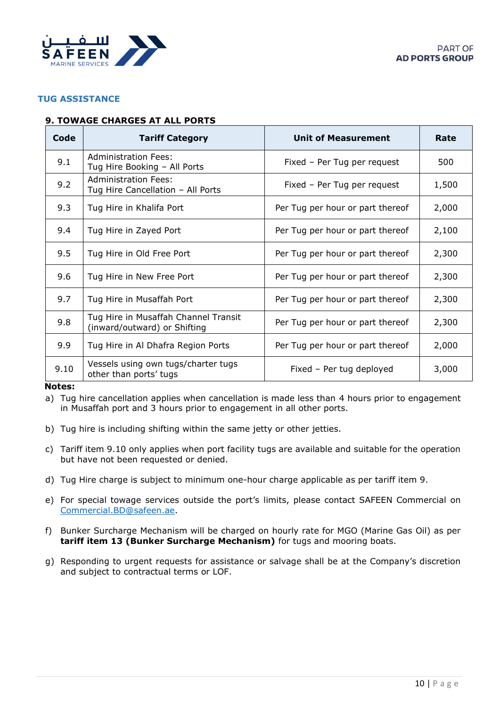<span id="page-10-0"></span>

#### <span id="page-10-1"></span>**TUG ASSISTANCE**

### **9. TOWAGE CHARGES AT ALL PORTS**

| Code | <b>Tariff Category</b>                                               | <b>Unit of Measurement</b>       | Rate  |
|------|----------------------------------------------------------------------|----------------------------------|-------|
| 9.1  | Administration Fees:<br>Tug Hire Booking - All Ports                 | Fixed - Per Tug per request      | 500   |
| 9.2  | <b>Administration Fees:</b><br>Tug Hire Cancellation - All Ports     | Fixed - Per Tug per request      | 1,500 |
| 9.3  | Tug Hire in Khalifa Port                                             | Per Tug per hour or part thereof | 2,000 |
| 9.4  | Tug Hire in Zayed Port                                               | Per Tug per hour or part thereof | 2,100 |
| 9.5  | Tug Hire in Old Free Port                                            | Per Tug per hour or part thereof | 2,300 |
| 9.6  | Tug Hire in New Free Port                                            | Per Tug per hour or part thereof | 2,300 |
| 9.7  | Tug Hire in Musaffah Port                                            | Per Tug per hour or part thereof | 2,300 |
| 9.8  | Tug Hire in Musaffah Channel Transit<br>(inward/outward) or Shifting | Per Tug per hour or part thereof | 2,300 |
| 9.9  | Tug Hire in Al Dhafra Region Ports                                   | Per Tug per hour or part thereof | 2,000 |
| 9.10 | Vessels using own tugs/charter tugs<br>other than ports' tugs        | Fixed - Per tug deployed         | 3,000 |

#### **Notes:**

- a) Tug hire cancellation applies when cancellation is made less than 4 hours prior to engagement in Musaffah port and 3 hours prior to engagement in all other ports.
- b) Tug hire is including shifting within the same jetty or other jetties.
- c) Tariff item 9.10 only applies when port facility tugs are available and suitable for the operation but have not been requested or denied.
- d) Tug Hire charge is subject to minimum one-hour charge applicable as per tariff item 9.
- e) For special towage services outside the port's limits, please contact SAFEEN Commercial on [Commercial.BD@safeen.ae.](mailto:Commercial.BD@safeen.ae)
- f) Bunker Surcharge Mechanism will be charged on hourly rate for MGO (Marine Gas Oil) as per **tariff item 13 (Bunker Surcharge Mechanism)** for tugs and mooring boats.
- g) Responding to urgent requests for assistance or salvage shall be at the Company's discretion and subject to contractual terms or LOF.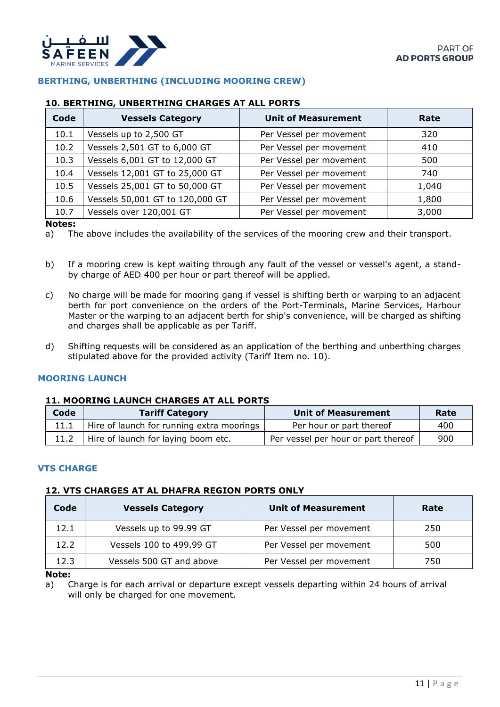<span id="page-11-0"></span>

### <span id="page-11-1"></span>**BERTHING, UNBERTHING (INCLUDING MOORING CREW)**

#### **10. BERTHING, UNBERTHING CHARGES AT ALL PORTS**

| Code | <b>Vessels Category</b>         | <b>Unit of Measurement</b> | Rate  |
|------|---------------------------------|----------------------------|-------|
| 10.1 | Vessels up to 2,500 GT          | Per Vessel per movement    | 320   |
| 10.2 | Vessels 2,501 GT to 6,000 GT    | Per Vessel per movement    | 410   |
| 10.3 | Vessels 6,001 GT to 12,000 GT   | Per Vessel per movement    | 500   |
| 10.4 | Vessels 12,001 GT to 25,000 GT  | Per Vessel per movement    | 740   |
| 10.5 | Vessels 25,001 GT to 50,000 GT  | Per Vessel per movement    | 1,040 |
| 10.6 | Vessels 50,001 GT to 120,000 GT | Per Vessel per movement    | 1,800 |
| 10.7 | Vessels over 120,001 GT         | Per Vessel per movement    | 3,000 |

#### **Notes:**

a) The above includes the availability of the services of the mooring crew and their transport.

- b) If a mooring crew is kept waiting through any fault of the vessel or vessel's agent, a standby charge of AED 400 per hour or part thereof will be applied.
- c) No charge will be made for mooring gang if vessel is shifting berth or warping to an adjacent berth for port convenience on the orders of the Port-Terminals, Marine Services, Harbour Master or the warping to an adjacent berth for ship's convenience, will be charged as shifting and charges shall be applicable as per Tariff.
- <span id="page-11-3"></span><span id="page-11-2"></span>d) Shifting requests will be considered as an application of the berthing and unberthing charges stipulated above for the provided activity (Tariff Item no. 10).

#### **MOORING LAUNCH**

## **11. MOORING LAUNCH CHARGES AT ALL PORTS**

<span id="page-11-4"></span>

| Code | <b>Tariff Category</b>                    | <b>Unit of Measurement</b>          | Rate |
|------|-------------------------------------------|-------------------------------------|------|
|      | Hire of launch for running extra moorings | Per hour or part thereof            | 400  |
|      | Hire of launch for laying boom etc.       | Per vessel per hour or part thereof | 900  |

#### <span id="page-11-5"></span>**VTS CHARGE**

#### **12. VTS CHARGES AT AL DHAFRA REGION PORTS ONLY**

| Code | <b>Vessels Category</b>  | <b>Unit of Measurement</b> | Rate |
|------|--------------------------|----------------------------|------|
| 12.1 | Vessels up to 99.99 GT   | Per Vessel per movement    | 250  |
| 12.2 | Vessels 100 to 499.99 GT | Per Vessel per movement    | 500  |
| 12.3 | Vessels 500 GT and above | Per Vessel per movement    | 750  |

**Note:**

a) Charge is for each arrival or departure except vessels departing within 24 hours of arrival will only be charged for one movement.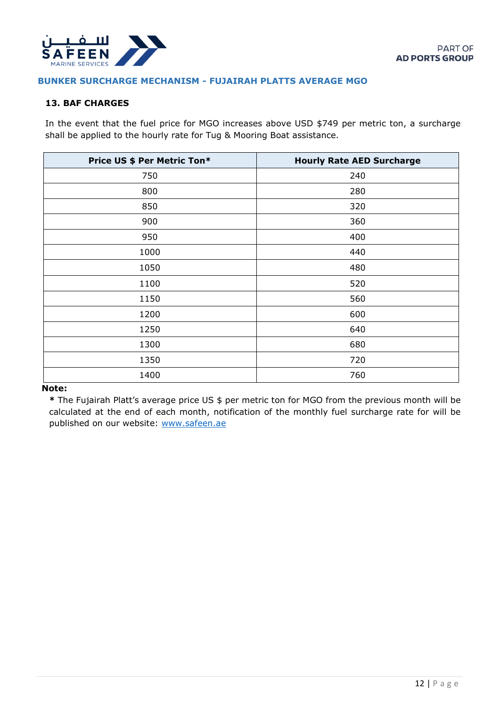<span id="page-12-0"></span>

#### <span id="page-12-1"></span>**BUNKER SURCHARGE MECHANISM - FUJAIRAH PLATTS AVERAGE MGO**

## **13. BAF CHARGES**

In the event that the fuel price for MGO increases above USD \$749 per metric ton, a surcharge shall be applied to the hourly rate for Tug & Mooring Boat assistance.

| Price US \$ Per Metric Ton* | <b>Hourly Rate AED Surcharge</b> |
|-----------------------------|----------------------------------|
| 750                         | 240                              |
| 800                         | 280                              |
| 850                         | 320                              |
| 900                         | 360                              |
| 950                         | 400                              |
| 1000                        | 440                              |
| 1050                        | 480                              |
| 1100                        | 520                              |
| 1150                        | 560                              |
| 1200                        | 600                              |
| 1250                        | 640                              |
| 1300                        | 680                              |
| 1350                        | 720                              |
| 1400                        | 760                              |

#### **Note:**

**\*** The Fujairah Platt's average price US \$ per metric ton for MGO from the previous month will be calculated at the end of each month, notification of the monthly fuel surcharge rate for will be published on our website: [www.safeen.ae](http://www.safeen.ae/)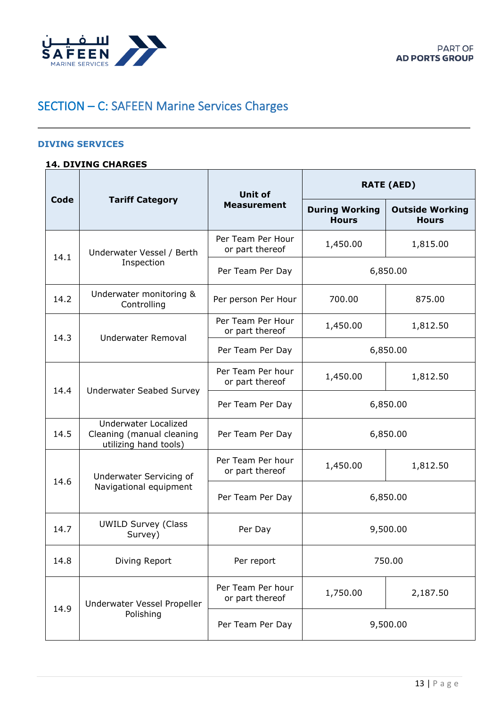<span id="page-13-0"></span>

# <span id="page-13-2"></span><span id="page-13-1"></span>SECTION – C: SAFEEN Marine Services Charges

#### **DIVING SERVICES**

# **14. DIVING CHARGES**

|      | <b>Tariff Category</b>                                                     | <b>Unit of</b>                       | <b>RATE (AED)</b>                     |                                        |
|------|----------------------------------------------------------------------------|--------------------------------------|---------------------------------------|----------------------------------------|
| Code |                                                                            | <b>Measurement</b>                   | <b>During Working</b><br><b>Hours</b> | <b>Outside Working</b><br><b>Hours</b> |
| 14.1 | Underwater Vessel / Berth<br>Inspection                                    | Per Team Per Hour<br>or part thereof | 1,450.00                              | 1,815.00                               |
|      |                                                                            | Per Team Per Day                     |                                       | 6,850.00                               |
| 14.2 | Underwater monitoring &<br>Controlling                                     | Per person Per Hour                  | 700.00                                | 875.00                                 |
| 14.3 | Underwater Removal                                                         | Per Team Per Hour<br>or part thereof | 1,450.00                              | 1,812.50                               |
|      |                                                                            | Per Team Per Day                     | 6,850.00                              |                                        |
|      | Underwater Seabed Survey                                                   | Per Team Per hour<br>or part thereof | 1,450.00                              | 1,812.50                               |
| 14.4 |                                                                            | Per Team Per Day                     | 6,850.00                              |                                        |
| 14.5 | Underwater Localized<br>Cleaning (manual cleaning<br>utilizing hand tools) | Per Team Per Day                     | 6,850.00                              |                                        |
| 14.6 | Underwater Servicing of<br>Navigational equipment                          | Per Team Per hour<br>or part thereof | 1,450.00                              | 1,812.50                               |
|      |                                                                            | Per Team Per Day                     |                                       | 6,850.00                               |
| 14.7 | <b>UWILD Survey (Class</b><br>Survey)                                      | Per Day                              | 9,500.00                              |                                        |
| 14.8 | Diving Report                                                              | Per report                           | 750.00                                |                                        |
|      | Underwater Vessel Propeller                                                | Per Team Per hour<br>or part thereof | 1,750.00                              | 2,187.50                               |
| 14.9 | Polishing                                                                  | Per Team Per Day                     |                                       | 9,500.00                               |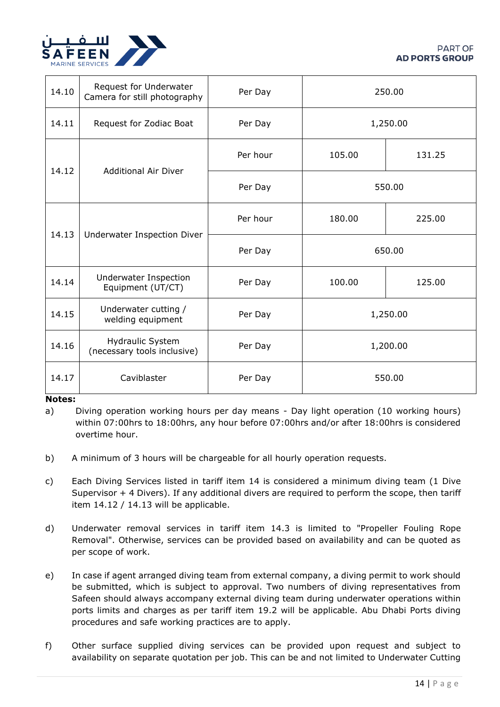

| 14.10 | Request for Underwater<br>Camera for still photography | Per Day  | 250.00   |        |
|-------|--------------------------------------------------------|----------|----------|--------|
| 14.11 | Request for Zodiac Boat                                | Per Day  | 1,250.00 |        |
|       | <b>Additional Air Diver</b>                            | Per hour | 105.00   | 131.25 |
| 14.12 |                                                        | Per Day  | 550.00   |        |
|       | Underwater Inspection Diver                            | Per hour | 180.00   | 225.00 |
| 14.13 |                                                        | Per Day  | 650.00   |        |
| 14.14 | Underwater Inspection<br>Equipment (UT/CT)             | Per Day  | 100.00   | 125.00 |
| 14.15 | Underwater cutting /<br>welding equipment              | Per Day  | 1,250.00 |        |
| 14.16 | <b>Hydraulic System</b><br>(necessary tools inclusive) | Per Day  | 1,200.00 |        |
| 14.17 | Caviblaster                                            | Per Day  | 550.00   |        |

### **Notes:**

a) Diving operation working hours per day means - Day light operation (10 working hours) within 07:00hrs to 18:00hrs, any hour before 07:00hrs and/or after 18:00hrs is considered overtime hour.

- b) A minimum of 3 hours will be chargeable for all hourly operation requests.
- c) Each Diving Services listed in tariff item 14 is considered a minimum diving team (1 Dive Supervisor + 4 Divers). If any additional divers are required to perform the scope, then tariff item 14.12 / 14.13 will be applicable.
- d) Underwater removal services in tariff item 14.3 is limited to "Propeller Fouling Rope Removal". Otherwise, services can be provided based on availability and can be quoted as per scope of work.
- e) In case if agent arranged diving team from external company, a diving permit to work should be submitted, which is subject to approval. Two numbers of diving representatives from Safeen should always accompany external diving team during underwater operations within ports limits and charges as per tariff item 19.2 will be applicable. Abu Dhabi Ports diving procedures and safe working practices are to apply.
- f) Other surface supplied diving services can be provided upon request and subject to availability on separate quotation per job. This can be and not limited to Underwater Cutting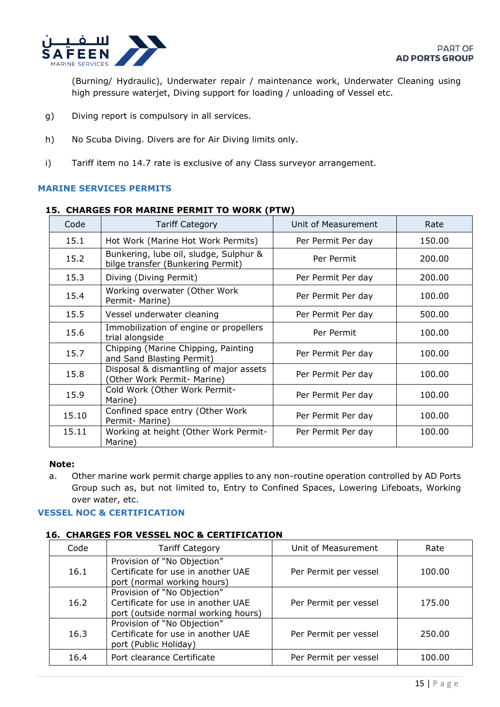

(Burning/ Hydraulic), Underwater repair / maintenance work, Underwater Cleaning using high pressure waterjet, Diving support for loading / unloading of Vessel etc.

- g) Diving report is compulsory in all services.
- <span id="page-15-0"></span>h) No Scuba Diving. Divers are for Air Diving limits only.
- <span id="page-15-1"></span>i) Tariff item no 14.7 rate is exclusive of any Class surveyor arrangement.

#### **MARINE SERVICES PERMITS**

#### **15. CHARGES FOR MARINE PERMIT TO WORK (PTW)**

| Code  | <b>Tariff Category</b>                                                      | Unit of Measurement | Rate   |
|-------|-----------------------------------------------------------------------------|---------------------|--------|
| 15.1  | Hot Work (Marine Hot Work Permits)                                          | Per Permit Per day  | 150.00 |
| 15.2  | Bunkering, lube oil, sludge, Sulphur &<br>bilge transfer (Bunkering Permit) | Per Permit          | 200.00 |
| 15.3  | Diving (Diving Permit)                                                      | Per Permit Per day  | 200.00 |
| 15.4  | Working overwater (Other Work<br>Permit- Marine)                            | Per Permit Per day  | 100.00 |
| 15.5  | Vessel underwater cleaning                                                  | Per Permit Per day  | 500.00 |
| 15.6  | Immobilization of engine or propellers<br>trial alongside                   | Per Permit          | 100.00 |
| 15.7  | Chipping (Marine Chipping, Painting<br>and Sand Blasting Permit)            | Per Permit Per day  | 100.00 |
| 15.8  | Disposal & dismantling of major assets<br>(Other Work Permit- Marine)       | Per Permit Per day  | 100.00 |
| 15.9  | Cold Work (Other Work Permit-<br>Marine)                                    | Per Permit Per day  | 100.00 |
| 15.10 | Confined space entry (Other Work<br>Permit- Marine)                         | Per Permit Per day  | 100.00 |
| 15.11 | Working at height (Other Work Permit-<br>Marine)                            | Per Permit Per day  | 100.00 |

#### <span id="page-15-2"></span>**Note:**

<span id="page-15-3"></span>a. Other marine work permit charge applies to any non-routine operation controlled by AD Ports Group such as, but not limited to, Entry to Confined Spaces, Lowering Lifeboats, Working over water, etc.

### **VESSEL NOC & CERTIFICATION**

#### **16. CHARGES FOR VESSEL NOC & CERTIFICATION**

| Code | <b>Tariff Category</b>                                                                                   | Unit of Measurement   | Rate   |
|------|----------------------------------------------------------------------------------------------------------|-----------------------|--------|
| 16.1 | Provision of "No Objection"<br>Certificate for use in another UAE<br>port (normal working hours)         | Per Permit per vessel | 100.00 |
| 16.2 | Provision of "No Objection"<br>Certificate for use in another UAE<br>port (outside normal working hours) | Per Permit per vessel | 175.00 |
| 16.3 | Provision of "No Objection"<br>Certificate for use in another UAE<br>port (Public Holiday)               | Per Permit per vessel | 250.00 |
| 16.4 | Port clearance Certificate                                                                               | Per Permit per vessel | 100.00 |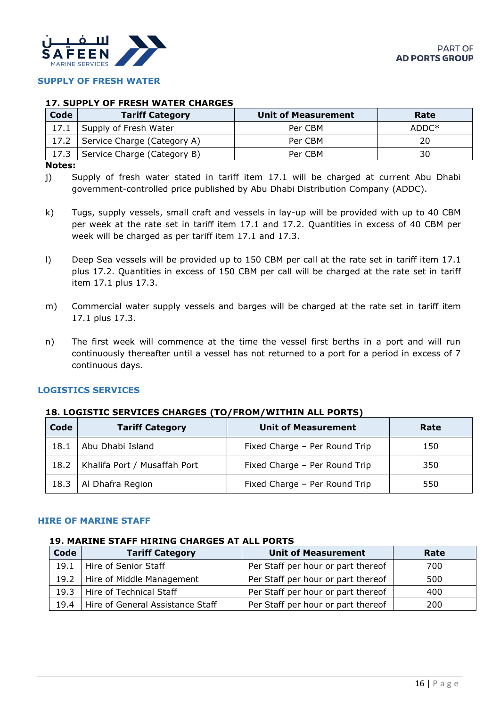<span id="page-16-0"></span>

# <span id="page-16-1"></span>**SUPPLY OF FRESH WATER**

#### **17. SUPPLY OF FRESH WATER CHARGES**

| Code | <b>Tariff Category</b>             | Unit of Measurement | Rate    |
|------|------------------------------------|---------------------|---------|
|      | 17.1 Supply of Fresh Water         | Per CBM             | $ADDC*$ |
|      | 17.2   Service Charge (Category A) | Per CBM             | 20      |
|      | 17.3   Service Charge (Category B) | Per CBM             | 30      |

#### **Notes:**

j) Supply of fresh water stated in tariff item 17.1 will be charged at current Abu Dhabi government-controlled price published by Abu Dhabi Distribution Company (ADDC).

- k) Tugs, supply vessels, small craft and vessels in lay-up will be provided with up to 40 CBM per week at the rate set in tariff item 17.1 and 17.2. Quantities in excess of 40 CBM per week will be charged as per tariff item 17.1 and 17.3.
- l) Deep Sea vessels will be provided up to 150 CBM per call at the rate set in tariff item 17.1 plus 17.2. Quantities in excess of 150 CBM per call will be charged at the rate set in tariff item 17.1 plus 17.3.
- m) Commercial water supply vessels and barges will be charged at the rate set in tariff item 17.1 plus 17.3.
- <span id="page-16-2"></span>n) The first week will commence at the time the vessel first berths in a port and will run continuously thereafter until a vessel has not returned to a port for a period in excess of 7 continuous days.

#### <span id="page-16-3"></span>**LOGISTICS SERVICES**

#### **18. LOGISTIC SERVICES CHARGES (TO/FROM/WITHIN ALL PORTS)**

| Code | <b>Tariff Category</b>       | <b>Unit of Measurement</b>    | Rate |
|------|------------------------------|-------------------------------|------|
| 18.1 | Abu Dhabi Island             | Fixed Charge - Per Round Trip | 150  |
| 18.2 | Khalifa Port / Musaffah Port | Fixed Charge - Per Round Trip | 350  |
| 18.3 | Al Dhafra Region             | Fixed Charge - Per Round Trip | 550  |

#### <span id="page-16-5"></span><span id="page-16-4"></span>**HIRE OF MARINE STAFF**

## **19. MARINE STAFF HIRING CHARGES AT ALL PORTS**

| Code | <b>Tariff Category</b>           | <b>Unit of Measurement</b>         | Rate |
|------|----------------------------------|------------------------------------|------|
| 19.1 | Hire of Senior Staff             | Per Staff per hour or part thereof | 700  |
|      | 19.2   Hire of Middle Management | Per Staff per hour or part thereof | 500  |
| 19.3 | Hire of Technical Staff          | Per Staff per hour or part thereof | 400  |
| 19.4 | Hire of General Assistance Staff | Per Staff per hour or part thereof | 200  |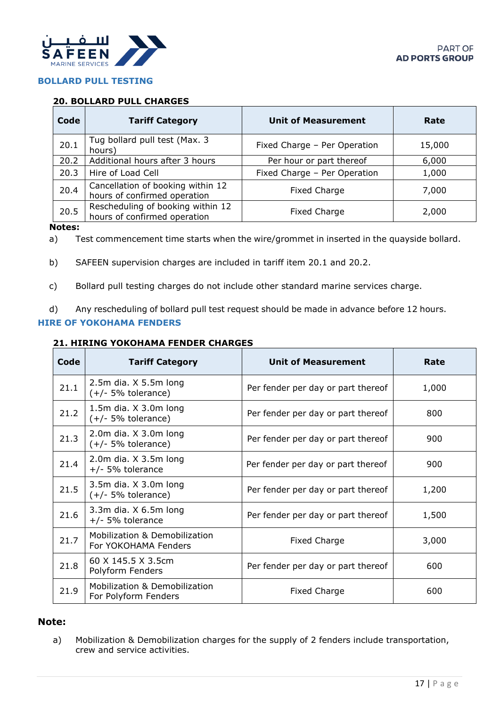<span id="page-17-0"></span>

# <span id="page-17-1"></span>**BOLLARD PULL TESTING**

## **20. BOLLARD PULL CHARGES**

| Code | <b>Tariff Category</b>                                            | <b>Unit of Measurement</b>   | Rate   |
|------|-------------------------------------------------------------------|------------------------------|--------|
| 20.1 | Tug bollard pull test (Max. 3<br>hours)                           | Fixed Charge - Per Operation | 15,000 |
| 20.2 | Additional hours after 3 hours                                    | Per hour or part thereof     | 6,000  |
| 20.3 | Hire of Load Cell                                                 | Fixed Charge - Per Operation | 1,000  |
| 20.4 | Cancellation of booking within 12<br>hours of confirmed operation | Fixed Charge                 | 7,000  |
| 20.5 | Rescheduling of booking within 12<br>hours of confirmed operation | Fixed Charge                 | 2,000  |

# **Notes:**

a) Test commencement time starts when the wire/grommet in inserted in the quayside bollard.

b) SAFEEN supervision charges are included in tariff item 20.1 and 20.2.

<span id="page-17-2"></span>c) Bollard pull testing charges do not include other standard marine services charge.

<span id="page-17-3"></span>d) Any rescheduling of bollard pull test request should be made in advance before 12 hours.

### **HIRE OF YOKOHAMA FENDERS**

## **21. HIRING YOKOHAMA FENDER CHARGES**

| Code | <b>Tariff Category</b>                                           | <b>Unit of Measurement</b>         | Rate  |
|------|------------------------------------------------------------------|------------------------------------|-------|
| 21.1 | $2.5m$ dia. $X$ 5.5m long<br>$(+/- 5%$ tolerance)                | Per fender per day or part thereof | 1,000 |
| 21.2 | 1.5 $m$ dia. $X$ 3.0 $m$ long<br>$(+/- 5%$ tolerance)            | Per fender per day or part thereof | 800   |
| 21.3 | 2.0 $m$ dia. $X$ 3.0 $m$ long<br>$(+/- 5%$ tolerance)            | Per fender per day or part thereof | 900   |
| 21.4 | 2.0m dia. X 3.5m long<br>$+/-$ 5% tolerance                      | Per fender per day or part thereof | 900   |
| 21.5 | 3.5 $m$ dia. $X$ 3.0 $m$ long<br>$(+/- 5%$ tolerance)            | Per fender per day or part thereof | 1,200 |
| 21.6 | 3.3 $m$ dia. $X$ 6.5 $m$ long<br>$+/-$ 5% tolerance              | Per fender per day or part thereof | 1,500 |
| 21.7 | Mobilization & Demobilization<br>For YOKOHAMA Fenders            | Fixed Charge                       | 3,000 |
| 21.8 | 60 X 145.5 X 3.5cm<br>Polyform Fenders                           | Per fender per day or part thereof | 600   |
| 21.9 | <b>Mobilization &amp; Demobilization</b><br>For Polyform Fenders | Fixed Charge                       | 600   |

## **Note:**

a) Mobilization & Demobilization charges for the supply of 2 fenders include transportation, crew and service activities.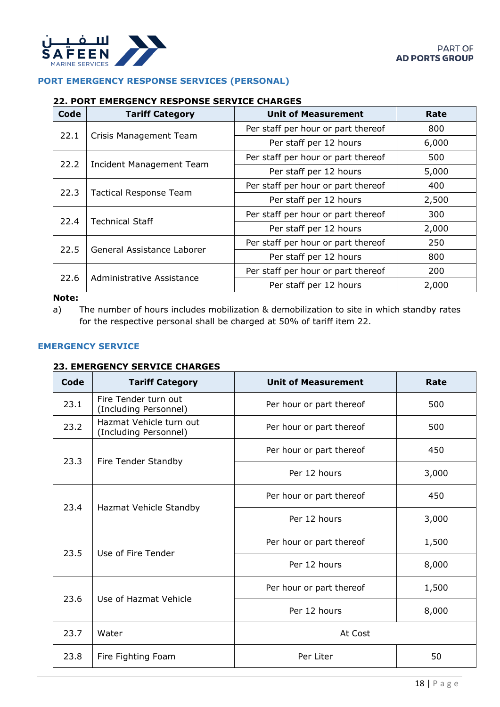<span id="page-18-0"></span>

## <span id="page-18-1"></span>**PORT EMERGENCY RESPONSE SERVICES (PERSONAL)**

#### **22. PORT EMERGENCY RESPONSE SERVICE CHARGES**

| Code | <b>Tariff Category</b>          | <b>Unit of Measurement</b>         | Rate  |
|------|---------------------------------|------------------------------------|-------|
| 22.1 |                                 | Per staff per hour or part thereof | 800   |
|      | Crisis Management Team          | Per staff per 12 hours             | 6,000 |
| 22.2 |                                 | Per staff per hour or part thereof | 500   |
|      | <b>Incident Management Team</b> | Per staff per 12 hours             | 5,000 |
|      | <b>Tactical Response Team</b>   | Per staff per hour or part thereof | 400   |
| 22.3 |                                 | Per staff per 12 hours             | 2,500 |
| 22.4 | <b>Technical Staff</b>          | Per staff per hour or part thereof | 300   |
|      |                                 | Per staff per 12 hours             | 2,000 |
| 22.5 | General Assistance Laborer      | Per staff per hour or part thereof | 250   |
|      |                                 | Per staff per 12 hours             | 800   |
|      |                                 | Per staff per hour or part thereof | 200   |
| 22.6 | Administrative Assistance       | Per staff per 12 hours             | 2,000 |

#### <span id="page-18-2"></span>**Note:**

a) The number of hours includes mobilization & demobilization to site in which standby rates for the respective personal shall be charged at 50% of tariff item 22.

# <span id="page-18-3"></span>**EMERGENCY SERVICE**

# **23. EMERGENCY SERVICE CHARGES**

| Code | <b>Tariff Category</b>                           | <b>Unit of Measurement</b> | Rate  |
|------|--------------------------------------------------|----------------------------|-------|
| 23.1 | Fire Tender turn out<br>(Including Personnel)    | Per hour or part thereof   | 500   |
| 23.2 | Hazmat Vehicle turn out<br>(Including Personnel) | Per hour or part thereof   | 500   |
| 23.3 |                                                  | Per hour or part thereof   | 450   |
|      | Fire Tender Standby                              | Per 12 hours               | 3,000 |
|      | Hazmat Vehicle Standby                           | Per hour or part thereof   | 450   |
| 23.4 |                                                  | Per 12 hours               | 3,000 |
| 23.5 | Use of Fire Tender                               | Per hour or part thereof   | 1,500 |
|      |                                                  | Per 12 hours               | 8,000 |
| 23.6 | Use of Hazmat Vehicle                            | Per hour or part thereof   | 1,500 |
|      |                                                  | Per 12 hours               | 8,000 |
| 23.7 | Water                                            | At Cost                    |       |
| 23.8 | Fire Fighting Foam                               | Per Liter                  | 50    |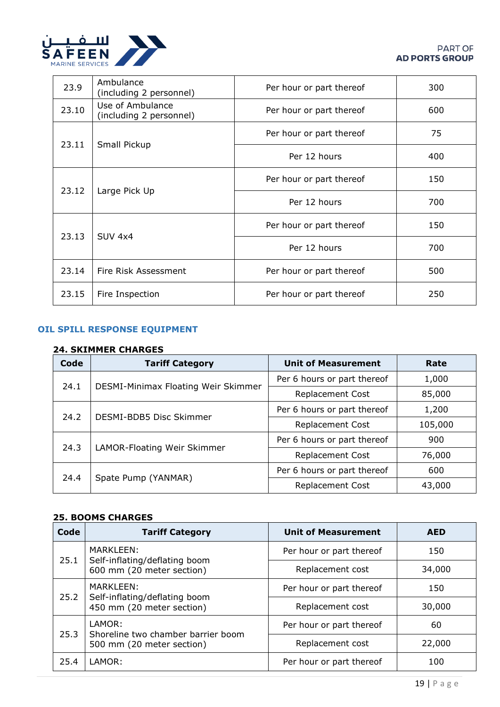

| 23.9  | Ambulance<br>(including 2 personnel)        | Per hour or part thereof | 300 |
|-------|---------------------------------------------|--------------------------|-----|
| 23.10 | Use of Ambulance<br>(including 2 personnel) | Per hour or part thereof | 600 |
| 23.11 | Small Pickup                                | Per hour or part thereof | 75  |
|       |                                             | Per 12 hours             | 400 |
|       | Large Pick Up                               | Per hour or part thereof | 150 |
| 23.12 |                                             | Per 12 hours             | 700 |
| 23.13 | <b>SUV 4x4</b>                              | Per hour or part thereof | 150 |
|       |                                             | Per 12 hours             | 700 |
| 23.14 | Fire Risk Assessment                        | Per hour or part thereof | 500 |
| 23.15 | Fire Inspection                             | Per hour or part thereof | 250 |

# <span id="page-19-1"></span><span id="page-19-0"></span>**OIL SPILL RESPONSE EQUIPMENT**

## **24. SKIMMER CHARGES**

| Code | <b>Tariff Category</b>              | <b>Unit of Measurement</b>                                                                                                                                                                  | Rate   |
|------|-------------------------------------|---------------------------------------------------------------------------------------------------------------------------------------------------------------------------------------------|--------|
| 24.1 |                                     | Per 6 hours or part thereof                                                                                                                                                                 | 1,000  |
|      | DESMI-Minimax Floating Weir Skimmer | <b>Replacement Cost</b>                                                                                                                                                                     | 85,000 |
| 24.2 |                                     | Per 6 hours or part thereof<br>1,200<br><b>Replacement Cost</b><br>105,000<br>Per 6 hours or part thereof<br>900<br><b>Replacement Cost</b><br>76,000<br>Per 6 hours or part thereof<br>600 |        |
|      | DESMI-BDB5 Disc Skimmer             |                                                                                                                                                                                             |        |
| 24.3 |                                     |                                                                                                                                                                                             |        |
|      | LAMOR-Floating Weir Skimmer         |                                                                                                                                                                                             |        |
| 24.4 | Spate Pump (YANMAR)                 |                                                                                                                                                                                             |        |
|      |                                     | <b>Replacement Cost</b>                                                                                                                                                                     | 43,000 |

## <span id="page-19-2"></span>**25. BOOMS CHARGES**

| Code                                                                            | <b>Tariff Category</b>                       | <b>Unit of Measurement</b> | <b>AED</b> |
|---------------------------------------------------------------------------------|----------------------------------------------|----------------------------|------------|
| MARKLEEN:<br>25.1<br>Self-inflating/deflating boom<br>600 mm (20 meter section) |                                              | Per hour or part thereof   | 150        |
|                                                                                 | Replacement cost                             | 34,000                     |            |
| MARKLEEN:<br>25.2<br>Self-inflating/deflating boom<br>450 mm (20 meter section) |                                              | Per hour or part thereof   | 150        |
|                                                                                 | Replacement cost                             | 30,000                     |            |
| 25.3                                                                            | LAMOR:<br>Shoreline two chamber barrier boom | Per hour or part thereof   | 60         |
|                                                                                 | 500 mm (20 meter section)                    | Replacement cost           | 22,000     |
| 25.4                                                                            | LAMOR:                                       | Per hour or part thereof   | 100        |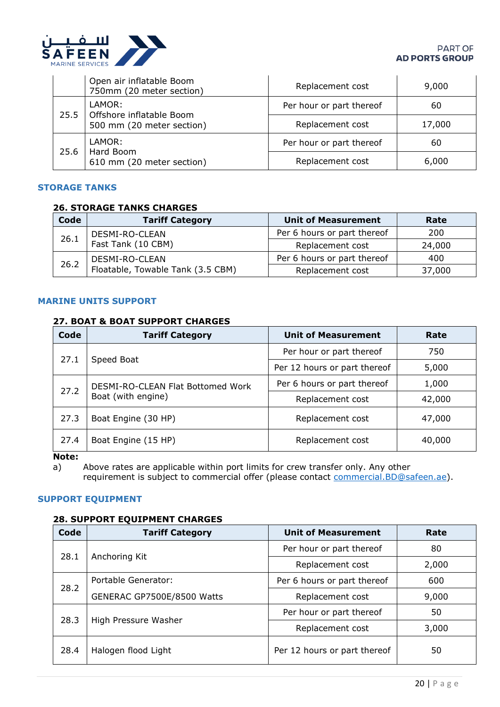

#### **PART OF AD PORTS GROUP**

|      | Open air inflatable Boom<br>750mm (20 meter section)            | Replacement cost         | 9,000  |
|------|-----------------------------------------------------------------|--------------------------|--------|
| 25.5 | LAMOR:<br>Offshore inflatable Boom<br>500 mm (20 meter section) | Per hour or part thereof | 60     |
|      |                                                                 | Replacement cost         | 17,000 |
| 25.6 | LAMOR:<br>Hard Boom<br>610 mm (20 meter section)                | Per hour or part thereof | 60     |
|      |                                                                 | Replacement cost         | 6,000  |

#### <span id="page-20-1"></span><span id="page-20-0"></span>**STORAGE TANKS**

#### **26. STORAGE TANKS CHARGES**

| Code | <b>Tariff Category</b>            | <b>Unit of Measurement</b>  | Rate   |
|------|-----------------------------------|-----------------------------|--------|
| 26.1 | DESMI-RO-CLEAN                    | Per 6 hours or part thereof | 200    |
|      | Fast Tank (10 CBM)                | Replacement cost            | 24,000 |
| 26.2 | DESMI-RO-CLEAN                    | Per 6 hours or part thereof | 400    |
|      | Floatable, Towable Tank (3.5 CBM) | Replacement cost            | 37,000 |

# <span id="page-20-3"></span><span id="page-20-2"></span>**MARINE UNITS SUPPORT**

### **27. BOAT & BOAT SUPPORT CHARGES**

| Code | <b>Tariff Category</b>            | <b>Unit of Measurement</b>                                         | Rate   |
|------|-----------------------------------|--------------------------------------------------------------------|--------|
| 27.1 |                                   | Per hour or part thereof<br>750                                    |        |
|      | Speed Boat                        | Per 12 hours or part thereof                                       | 5,000  |
| 27.2 | DESMI-RO-CLEAN Flat Bottomed Work | Per 6 hours or part thereof<br>1,000<br>42,000<br>Replacement cost |        |
|      | Boat (with engine)                |                                                                    |        |
| 27.3 | Boat Engine (30 HP)               | Replacement cost                                                   | 47,000 |
| 27.4 | Boat Engine (15 HP)               | Replacement cost                                                   | 40,000 |

<span id="page-20-4"></span>**Note:**

<span id="page-20-5"></span>a) Above rates are applicable within port limits for crew transfer only. Any other requirement is subject to commercial offer (please contact [commercial.BD@safeen.ae\)](mailto:commercial.BD@safeen.ae).

### **SUPPORT EQUIPMENT**

#### **28. SUPPORT EQUIPMENT CHARGES**

| Code | <b>Tariff Category</b>     | <b>Unit of Measurement</b>                                                                   | Rate |
|------|----------------------------|----------------------------------------------------------------------------------------------|------|
| 28.1 |                            | Per hour or part thereof                                                                     | 80   |
|      | Anchoring Kit              | Replacement cost<br>2,000<br>Per 6 hours or part thereof<br>600<br>Replacement cost<br>9,000 |      |
| 28.2 | Portable Generator:        |                                                                                              |      |
|      | GENERAC GP7500E/8500 Watts |                                                                                              |      |
| 28.3 |                            | Per hour or part thereof                                                                     | 50   |
|      | High Pressure Washer       | Replacement cost<br>3,000                                                                    |      |
| 28.4 | Halogen flood Light        | Per 12 hours or part thereof                                                                 | 50   |